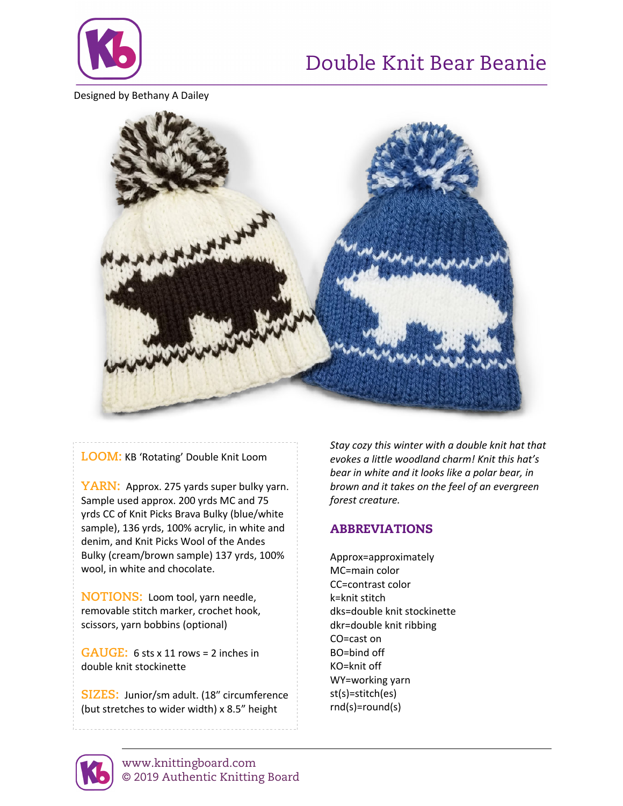

# Double Knit Bear Beanie

Designed by Bethany A Dailey



## **LOOM:** KB 'Rotating' Double Knit Loom

YARN: Approx. 275 yards super bulky yarn. Sample used approx. 200 yrds MC and 75 yrds CC of Knit Picks Brava Bulky (blue/white sample), 136 yrds, 100% acrylic, in white and denim, and Knit Picks Wool of the Andes Bulky (cream/brown sample) 137 yrds, 100% wool, in white and chocolate.

**NOTIONS:** Loom tool, yarn needle, removable stitch marker, crochet hook, scissors, yarn bobbins (optional)

**GAUGE:** 6 sts x 11 rows = 2 inches in double knit stockinette

**SIZES:** Junior/sm adult. (18" circumference (but stretches to wider width) x 8.5" height

*Stay cozy this winter with a double knit hat that evokes a little woodland charm! Knit this hat's bear in white and it looks like a polar bear, in brown and it takes on the feel of an evergreen forest creature.*

## ABBREVIATIONS

Approx=approximately MC=main color CC=contrast color k=knit stitch dks=double knit stockinette dkr=double knit ribbing CO=cast on BO=bind off KO=knit off WY=working yarn st(s)=stitch(es) rnd(s)=round(s)

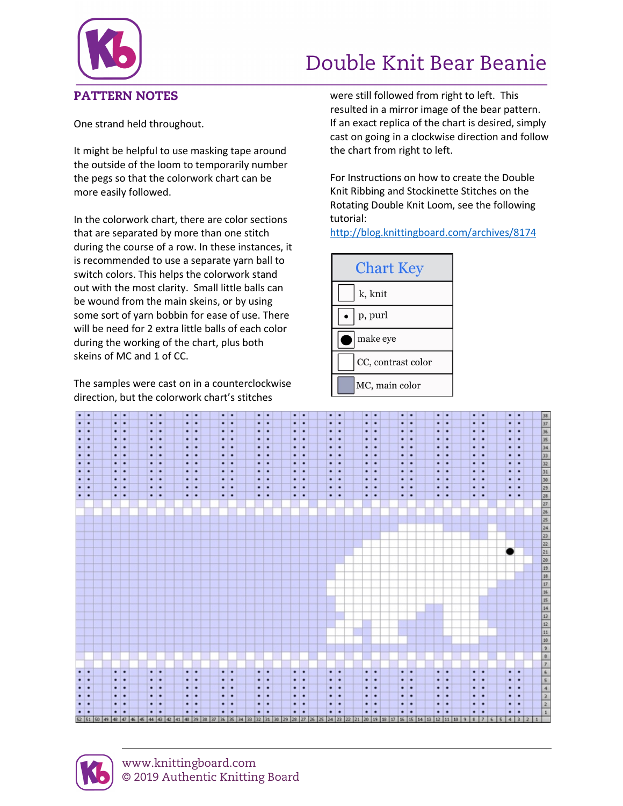

# Double Knit Bear Beanie

One strand held throughout.

It might be helpful to use masking tape around the outside of the loom to temporarily number the pegs so that the colorwork chart can be more easily followed.

In the colorwork chart, there are color sections that are separated by more than one stitch during the course of a row. In these instances, it is recommended to use a separate yarn ball to switch colors. This helps the colorwork stand out with the most clarity. Small little balls can be wound from the main skeins, or by using some sort of yarn bobbin for ease of use. There will be need for 2 extra little balls of each color during the working of the chart, plus both skeins of MC and 1 of CC.

The samples were cast on in a counterclockwise direction, but the colorwork chart's stitches

were still followed from right to left. This resulted in a mirror image of the bear pattern. If an exact replica of the chart is desired, simply cast on going in a clockwise direction and follow the chart from right to left.

For Instructions on how to create the Double Knit Ribbing and Stockinette Stitches on the Rotating Double Knit Loom, see the following tutorial:

http://blog.knittingboard.com/archives/8174